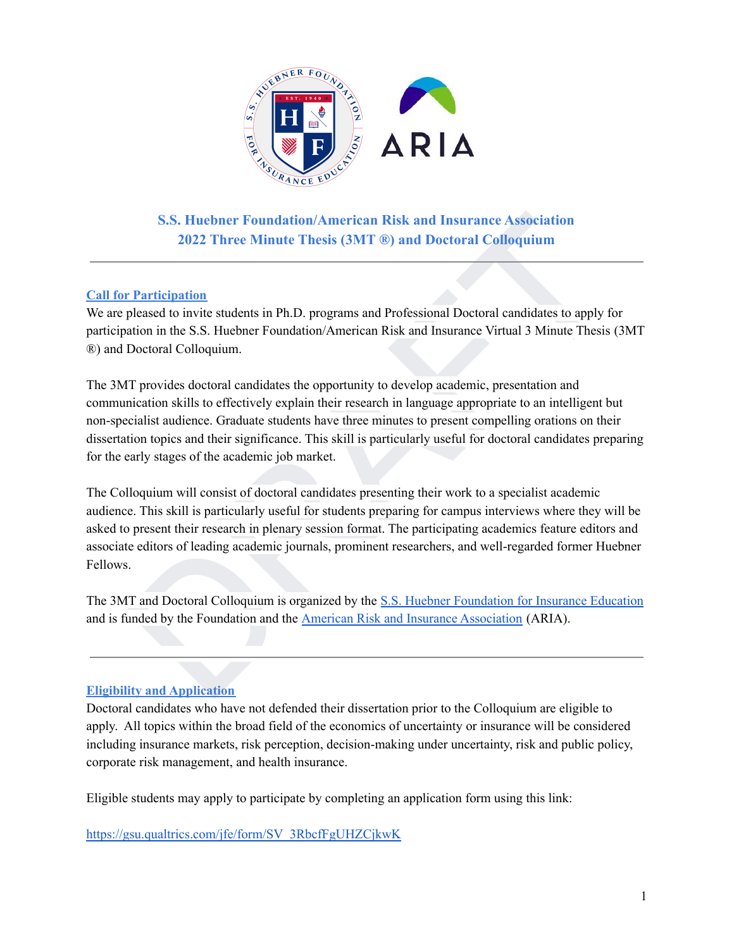

**S.S. Huebner Foundation/American Risk and Insurance Association 2022 Three Minute Thesis (3MT ®) and Doctoral Colloquium**

### **Call for Participation**

We are pleased to invite students in Ph.D. programs and Professional Doctoral candidates to apply for participation in the S.S. Huebner Foundation/American Risk and Insurance Virtual 3 Minute Thesis (3MT ®) and Doctoral Colloquium.

S.S. Huebner Foundation/American [R](https://huebnerfoundation.com/)isk and Insurance Association<br>2022 Three Minute Thesis (3MT  $\circledast$ ) and Doctoral Colloquium<br>pleased to invite students in Ph.D. programs and Professional Doctoral candidates to apply for<br> The 3MT provides doctoral candidates the opportunity to develop academic, presentation and communication skills to effectively explain their research in language appropriate to an intelligent but non-specialist audience. Graduate students have three minutes to present compelling orations on their dissertation topics and their significance. This skill is particularly useful for doctoral candidates preparing for the early stages of the academic job market.

The Colloquium will consist of doctoral candidates presenting their work to a specialist academic audience. This skill is particularly useful for students preparing for campus interviews where they will be asked to present their research in plenary session format. The participating academics feature editors and associate editors of leading academic journals, prominent researchers, and well-regarded former Huebner Fellows.

The 3MT and Doctoral Colloquium is organized by the S.S. Huebner Foundation for Insurance Education and is funded by the Foundation and the American Risk and Insurance Association (ARIA).

### **Eligibility and Application**

Doctoral candidates who have not defended their dissertation prior to the Colloquium are eligible to apply. All topics within the broad field of the economics of uncertainty or insurance will be considered including insurance markets, risk perception, decision-making under uncertainty, risk and public policy, corporate risk management, and health insurance.

Eligible students may apply to participate by completing an application form using this link:

[https://gsu.qualtrics.com/jfe/form/SV\\_3RbcfFgUHZCjkwK](https://gsu.qualtrics.com/jfe/form/SV_3RbcfFgUHZCjkwK)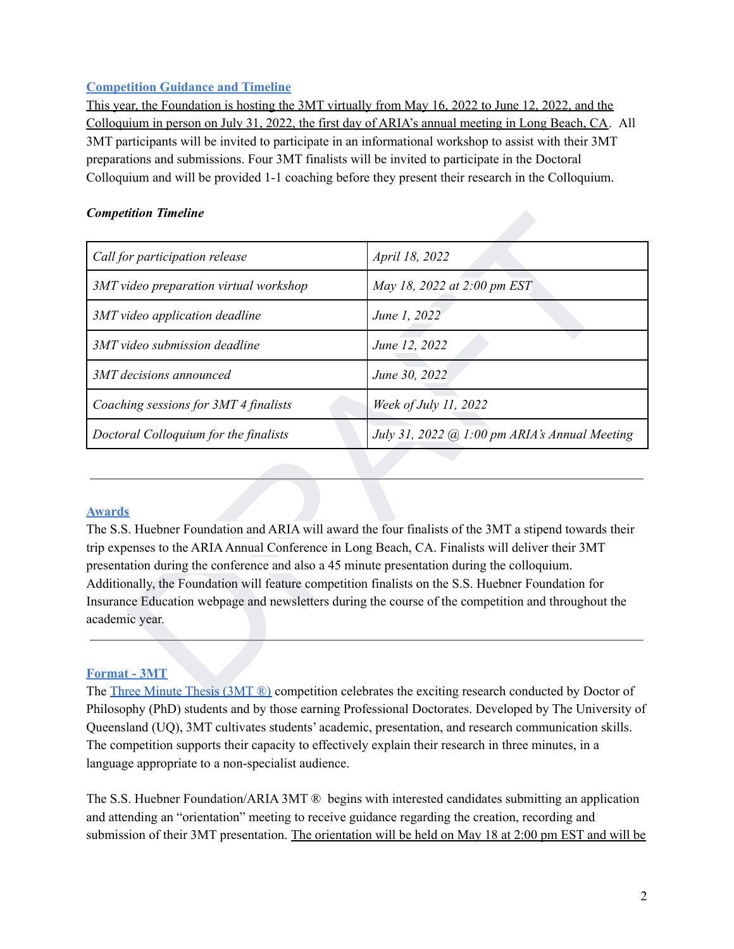## **Competition Guidance and Timeline**

This year, the Foundation is hosting the 3MT virtually from May 16, 2022 to June 12, 2022, and the Colloquium in person on July 31, 2022, the first day of ARIA's annual meeting in Long Beach, CA. All 3MT participants will be invited to participate in an informational workshop to assist with their 3MT preparations and submissions. Four 3MT finalists will be invited to participate in the Doctoral Colloquium and will be provided 1-1 coaching before they present their research in the Colloquium.

### *Competition Timeline*

| <b>Competition Timeline</b>                                                                                                    |                                                                                                                                                                                                                                                                                                                                                                                                                       |
|--------------------------------------------------------------------------------------------------------------------------------|-----------------------------------------------------------------------------------------------------------------------------------------------------------------------------------------------------------------------------------------------------------------------------------------------------------------------------------------------------------------------------------------------------------------------|
| Call for participation release                                                                                                 | April 18, 2022                                                                                                                                                                                                                                                                                                                                                                                                        |
| 3MT video preparation virtual workshop                                                                                         | May 18, 2022 at 2:00 pm EST                                                                                                                                                                                                                                                                                                                                                                                           |
| 3MT video application deadline                                                                                                 | June 1, 2022                                                                                                                                                                                                                                                                                                                                                                                                          |
| 3MT video submission deadline                                                                                                  | June 12, 2022                                                                                                                                                                                                                                                                                                                                                                                                         |
| 3MT decisions announced                                                                                                        | June 30, 2022                                                                                                                                                                                                                                                                                                                                                                                                         |
| Coaching sessions for 3MT 4 finalists                                                                                          | Week of July 11, 2022                                                                                                                                                                                                                                                                                                                                                                                                 |
| Doctoral Colloquium for the finalists                                                                                          | July 31, 2022 @ 1:00 pm ARIA's Annual Meeting                                                                                                                                                                                                                                                                                                                                                                         |
| <b>Awards</b><br>presentation during the conference and also a 45 minute presentation during the colloquium.<br>academic year. | The S.S. Huebner Foundation and ARIA will award the four finalists of the 3MT a stipend towards their<br>trip expenses to the ARIA Annual Conference in Long Beach, CA. Finalists will deliver their 3MT<br>Additionally, the Foundation will feature competition finalists on the S.S. Huebner Foundation for<br>Insurance Education webpage and newsletters during the course of the competition and throughout the |
|                                                                                                                                |                                                                                                                                                                                                                                                                                                                                                                                                                       |
| <b>Format - 3MT</b>                                                                                                            |                                                                                                                                                                                                                                                                                                                                                                                                                       |
|                                                                                                                                | The Three Minute Thesis (3MT ®) competition celebrates the exciting research conducted by Doctor of                                                                                                                                                                                                                                                                                                                   |

### **Awards**

### **Format - 3MT**

The Three Minute Thesis (3MT ®) competition celebrates the exciting research conducted by Doctor of Philosophy (PhD) students and by those earning Professional Doctorates. Developed by The University of Queensland (UQ), 3MT cultivates students' academic, presentation, and research communication skills. The competition supports their capacity to effectively explain their research in three minutes, in a language appropriate to a non-specialist audience.

The S.S. Huebner Foundation/ARIA 3MT ® begins with interested candidates submitting an application and attending an "orientation" meeting to receive guidance regarding the creation, recording and submission of their 3MT presentation. The orientation will be held on May 18 at 2:00 pm EST and will be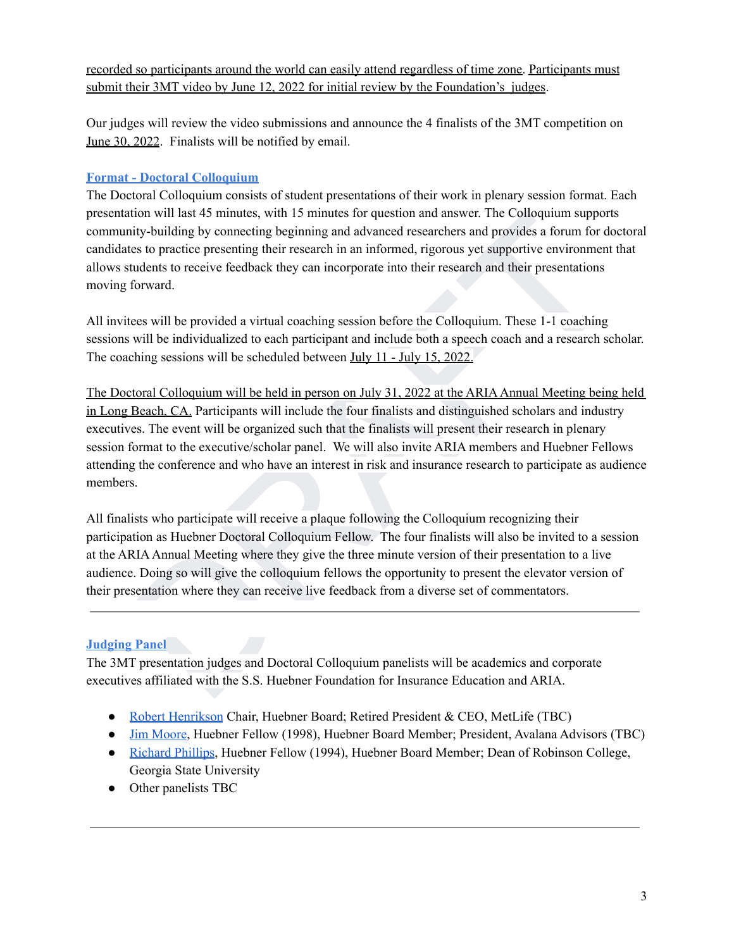recorded so participants around the world can easily attend regardless of time zone. Participants must submit their 3MT video by June 12, 2022 for initial review by the Foundation's judges.

Our judges will review the video submissions and announce the 4 finalists of the 3MT competition on June 30, 2022. Finalists will be notified by email.

## **Format - Doctoral Colloquium**

The Doctoral Colloquium consists of student presentations of their work in plenary session format. Each presentation will last 45 minutes, with 15 minutes for question and answer. The Colloquium supports community-building by connecting beginning and advanced researchers and provides a forum for doctoral candidates to practice presenting their research in an informed, rigorous yet supportive environment that allows students to receive feedback they can incorporate into their research and their presentations moving forward.

All invitees will be provided a virtual coaching session before the Colloquium. These 1-1 coaching sessions will be individualized to each participant and include both a speech coach and a research scholar. The coaching sessions will be scheduled between July 11 - July 15, 2022.

ation will last 45 minutes, with 15 minutes for question and answer. The Colloquium supports<br>inty-building by connecting beginning and advanced researchers and provides a forum for doctoral<br>these to practice presenting the The Doctoral Colloquium will be held in person on July 31, 2022 at the ARIAAnnual Meeting being held in Long Beach, CA. Participants will include the four finalists and distinguished scholars and industry executives. The event will be organized such that the finalists will present their research in plenary session format to the executive/scholar panel. We will also invite ARIA members and Huebner Fellows attending the conference and who have an interest in risk and insurance research to participate as audience members.

All finalists who participate will receive a plaque following the Colloquium recognizing their participation as Huebner Doctoral Colloquium Fellow. The four finalists will also be invited to a session at the ARIA Annual Meeting where they give the three minute version of their presentation to a live audience. Doing so will give the colloquium fellows the opportunity to present the elevator version of their presentation where they can receive live feedback from a diverse set of commentators.

# **Judging Panel**

The 3MT presentation judges and Doctoral Colloquium panelists will be academics and corporate executives affiliated with the S.S. Huebner Foundation for Insurance Education and ARIA.

- Robert [Henrikson](https://en.wikipedia.org/wiki/C._Robert_Henrikson) Chair, Huebner Board; Retired President & CEO, MetLife (TBC)
- Jim [Moore,](https://www.linkedin.com/in/jim-moore-65972b5/) Huebner Fellow (1998), Huebner Board Member; President, Avalana Advisors (TBC)
- [Richard](https://robinson.gsu.edu/profile/richard-d-phillips/) Phillips, Huebner Fellow (1994), Huebner Board Member; Dean of Robinson College, Georgia State University
- Other panelists TBC